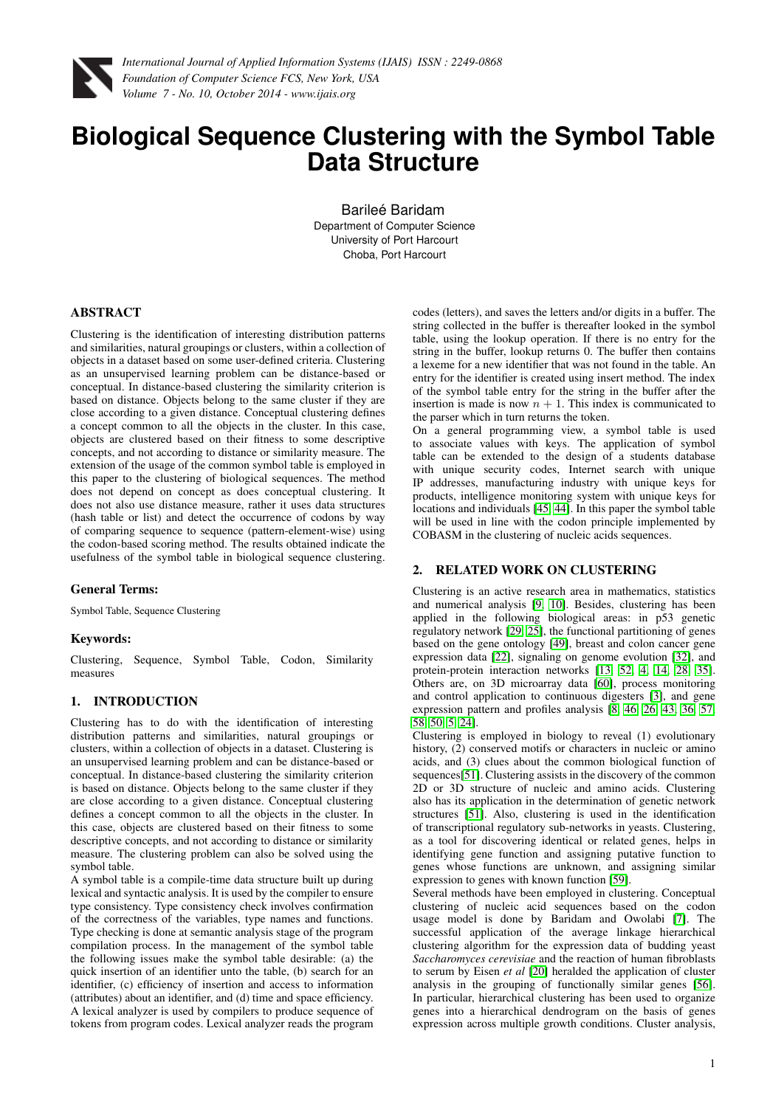

# **Biological Sequence Clustering with the Symbol Table Data Structure**

Barileé Baridam Department of Computer Science University of Port Harcourt Choba, Port Harcourt

### ABSTRACT

Clustering is the identification of interesting distribution patterns and similarities, natural groupings or clusters, within a collection of objects in a dataset based on some user-defined criteria. Clustering as an unsupervised learning problem can be distance-based or conceptual. In distance-based clustering the similarity criterion is based on distance. Objects belong to the same cluster if they are close according to a given distance. Conceptual clustering defines a concept common to all the objects in the cluster. In this case, objects are clustered based on their fitness to some descriptive concepts, and not according to distance or similarity measure. The extension of the usage of the common symbol table is employed in this paper to the clustering of biological sequences. The method does not depend on concept as does conceptual clustering. It does not also use distance measure, rather it uses data structures (hash table or list) and detect the occurrence of codons by way of comparing sequence to sequence (pattern-element-wise) using the codon-based scoring method. The results obtained indicate the usefulness of the symbol table in biological sequence clustering.

### General Terms:

Symbol Table, Sequence Clustering

### Keywords:

Clustering, Sequence, Symbol Table, Codon, Similarity measures

## 1. INTRODUCTION

Clustering has to do with the identification of interesting distribution patterns and similarities, natural groupings or clusters, within a collection of objects in a dataset. Clustering is an unsupervised learning problem and can be distance-based or conceptual. In distance-based clustering the similarity criterion is based on distance. Objects belong to the same cluster if they are close according to a given distance. Conceptual clustering defines a concept common to all the objects in the cluster. In this case, objects are clustered based on their fitness to some descriptive concepts, and not according to distance or similarity measure. The clustering problem can also be solved using the symbol table.

A symbol table is a compile-time data structure built up during lexical and syntactic analysis. It is used by the compiler to ensure type consistency. Type consistency check involves confirmation of the correctness of the variables, type names and functions. Type checking is done at semantic analysis stage of the program compilation process. In the management of the symbol table the following issues make the symbol table desirable: (a) the quick insertion of an identifier unto the table, (b) search for an identifier, (c) efficiency of insertion and access to information (attributes) about an identifier, and (d) time and space efficiency. A lexical analyzer is used by compilers to produce sequence of tokens from program codes. Lexical analyzer reads the program codes (letters), and saves the letters and/or digits in a buffer. The string collected in the buffer is thereafter looked in the symbol table, using the lookup operation. If there is no entry for the string in the buffer, lookup returns 0. The buffer then contains a lexeme for a new identifier that was not found in the table. An entry for the identifier is created using insert method. The index of the symbol table entry for the string in the buffer after the insertion is made is now  $n + 1$ . This index is communicated to the parser which in turn returns the token.

On a general programming view, a symbol table is used to associate values with keys. The application of symbol table can be extended to the design of a students database with unique security codes, Internet search with unique IP addresses, manufacturing industry with unique keys for products, intelligence monitoring system with unique keys for locations and individuals [\[45,](#page-5-0) [44\]](#page-5-1). In this paper the symbol table will be used in line with the codon principle implemented by COBASM in the clustering of nucleic acids sequences.

### 2. RELATED WORK ON CLUSTERING

Clustering is an active research area in mathematics, statistics and numerical analysis [\[9,](#page-3-0) [10\]](#page-3-1). Besides, clustering has been applied in the following biological areas: in p53 genetic regulatory network [\[29,](#page-4-0) [25\]](#page-3-2), the functional partitioning of genes based on the gene ontology [\[49\]](#page-5-2), breast and colon cancer gene expression data [\[22\]](#page-3-3), signaling on genome evolution [\[32\]](#page-4-1), and protein-protein interaction networks [\[13,](#page-3-4) [52,](#page-5-3) [4,](#page-3-5) [14,](#page-3-6) [28,](#page-4-2) [35\]](#page-4-3). Others are, on 3D microarray data [\[60\]](#page-5-4), process monitoring and control application to continuous digesters [\[3\]](#page-3-7), and gene expression pattern and profiles analysis [\[8,](#page-3-8) [46,](#page-5-5) [26,](#page-3-9) [43,](#page-5-6) [36,](#page-4-4) [57,](#page-5-7) [58,](#page-5-8) [50,](#page-5-9) [5,](#page-3-10) [24\]](#page-3-11).

Clustering is employed in biology to reveal (1) evolutionary history, (2) conserved motifs or characters in nucleic or amino acids, and (3) clues about the common biological function of sequences[\[51\]](#page-5-10). Clustering assists in the discovery of the common 2D or 3D structure of nucleic and amino acids. Clustering also has its application in the determination of genetic network structures [\[51\]](#page-5-10). Also, clustering is used in the identification of transcriptional regulatory sub-networks in yeasts. Clustering, as a tool for discovering identical or related genes, helps in identifying gene function and assigning putative function to genes whose functions are unknown, and assigning similar expression to genes with known function [\[59\]](#page-5-11).

Several methods have been employed in clustering. Conceptual clustering of nucleic acid sequences based on the codon usage model is done by Baridam and Owolabi [\[7\]](#page-3-12). The successful application of the average linkage hierarchical clustering algorithm for the expression data of budding yeast *Saccharomyces cerevisiae* and the reaction of human fibroblasts to serum by Eisen *et al* [\[20\]](#page-3-13) heralded the application of cluster analysis in the grouping of functionally similar genes [\[56\]](#page-5-12). In particular, hierarchical clustering has been used to organize genes into a hierarchical dendrogram on the basis of genes expression across multiple growth conditions. Cluster analysis,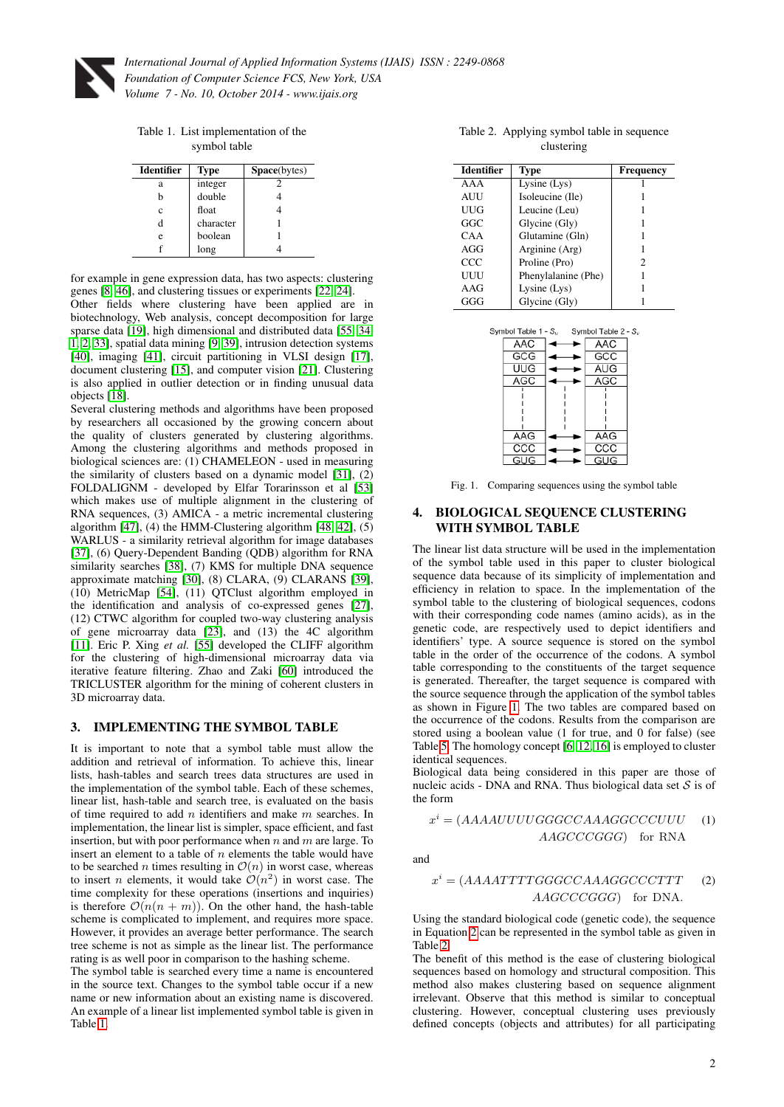

<span id="page-1-0"></span>Table 1. List implementation of the symbol table

| <b>Identifier</b> | <b>Type</b> | <b>Space</b> (bytes) |
|-------------------|-------------|----------------------|
| а                 | integer     |                      |
| h                 | double      |                      |
| Ċ                 | float       |                      |
| d                 | character   |                      |
| e                 | boolean     |                      |
|                   | long        |                      |

for example in gene expression data, has two aspects: clustering genes [\[8,](#page-3-8) [46\]](#page-5-5), and clustering tissues or experiments [\[22,](#page-3-3) [24\]](#page-3-11).

Other fields where clustering have been applied are in biotechnology, Web analysis, concept decomposition for large sparse data [\[19\]](#page-3-14), high dimensional and distributed data [\[55,](#page-5-13) [34,](#page-4-5) [1,](#page-3-15) [2,](#page-3-16) [33\]](#page-4-6), spatial data mining [\[9,](#page-3-0) [39\]](#page-5-14), intrusion detection systems [\[40\]](#page-5-15), imaging [\[41\]](#page-5-16), circuit partitioning in VLSI design [\[17\]](#page-3-17), document clustering [\[15\]](#page-3-18), and computer vision [\[21\]](#page-3-19). Clustering is also applied in outlier detection or in finding unusual data objects [\[18\]](#page-3-20).

Several clustering methods and algorithms have been proposed by researchers all occasioned by the growing concern about the quality of clusters generated by clustering algorithms. Among the clustering algorithms and methods proposed in biological sciences are: (1) CHAMELEON - used in measuring the similarity of clusters based on a dynamic model [\[31\]](#page-4-7), (2) FOLDALIGNM - developed by Elfar Torarinsson et al [\[53\]](#page-5-17) which makes use of multiple alignment in the clustering of RNA sequences, (3) AMICA - a metric incremental clustering algorithm  $[47]$ ,  $(4)$  the HMM-Clustering algorithm  $[48, 42]$  $[48, 42]$ ,  $(5)$ WARLUS - a similarity retrieval algorithm for image databases [\[37\]](#page-4-8), (6) Query-Dependent Banding (QDB) algorithm for RNA similarity searches [\[38\]](#page-5-21), (7) KMS for multiple DNA sequence approximate matching [\[30\]](#page-4-9), (8) CLARA, (9) CLARANS [\[39\]](#page-5-14), (10) MetricMap [\[54\]](#page-5-22), (11) QTClust algorithm employed in the identification and analysis of co-expressed genes [\[27\]](#page-4-10), (12) CTWC algorithm for coupled two-way clustering analysis of gene microarray data [\[23\]](#page-3-21), and (13) the 4C algorithm [\[11\]](#page-3-22). Eric P. Xing *et al.* [\[55\]](#page-5-13) developed the CLIFF algorithm for the clustering of high-dimensional microarray data via iterative feature filtering. Zhao and Zaki [\[60\]](#page-5-4) introduced the TRICLUSTER algorithm for the mining of coherent clusters in 3D microarray data.

#### 3. IMPLEMENTING THE SYMBOL TABLE

It is important to note that a symbol table must allow the addition and retrieval of information. To achieve this, linear lists, hash-tables and search trees data structures are used in the implementation of the symbol table. Each of these schemes, linear list, hash-table and search tree, is evaluated on the basis of time required to add  $n$  identifiers and make  $m$  searches. In implementation, the linear list is simpler, space efficient, and fast insertion, but with poor performance when  $n$  and  $m$  are large. To insert an element to a table of  $n$  elements the table would have to be searched *n* times resulting in  $\mathcal{O}(n)$  in worst case, whereas to insert *n* elements, it would take  $\mathcal{O}(n^2)$  in worst case. The time complexity for these operations (insertions and inquiries) is therefore  $\mathcal{O}(n(n+m))$ . On the other hand, the hash-table scheme is complicated to implement, and requires more space. However, it provides an average better performance. The search tree scheme is not as simple as the linear list. The performance rating is as well poor in comparison to the hashing scheme.

The symbol table is searched every time a name is encountered in the source text. Changes to the symbol table occur if a new name or new information about an existing name is discovered. An example of a linear list implemented symbol table is given in Table [1.](#page-1-0)

<span id="page-1-3"></span>Table 2. Applying symbol table in sequence clustering

| <b>Identifier</b> | <b>Type</b>         | <b>Frequency</b> |
|-------------------|---------------------|------------------|
| AAA               | Lysine $(Lys)$      |                  |
| AUU               | Isoleucine (Ile)    |                  |
| UUG               | Leucine (Leu)       |                  |
| GGC               | Glycine (Gly)       |                  |
| CAA               | Glutamine (Gln)     |                  |
| AGG               | Arginine (Arg)      |                  |
| ccc               | Proline (Pro)       | 2                |
| UUU               | Phenylalanine (Phe) |                  |
| AAG               | Lysine (Lys)        |                  |
| GGG               | Glycine (Gly)       |                  |



<span id="page-1-1"></span>Fig. 1. Comparing sequences using the symbol table

#### 4. BIOLOGICAL SEQUENCE CLUSTERING WITH SYMBOL TABLE

The linear list data structure will be used in the implementation of the symbol table used in this paper to cluster biological sequence data because of its simplicity of implementation and efficiency in relation to space. In the implementation of the symbol table to the clustering of biological sequences, codons with their corresponding code names (amino acids), as in the genetic code, are respectively used to depict identifiers and identifiers' type. A source sequence is stored on the symbol table in the order of the occurrence of the codons. A symbol table corresponding to the constituents of the target sequence is generated. Thereafter, the target sequence is compared with the source sequence through the application of the symbol tables as shown in Figure [1.](#page-1-1) The two tables are compared based on the occurrence of the codons. Results from the comparison are stored using a boolean value (1 for true, and 0 for false) (see Table [5.](#page-4-11) The homology concept [\[6,](#page-3-23) [12,](#page-3-24) [16\]](#page-3-25) is employed to cluster identical sequences.

Biological data being considered in this paper are those of nucleic acids - DNA and RNA. Thus biological data set  $S$  is of the form

<span id="page-1-2"></span>
$$
xi = (AAAAUUUUGGGCCAAAGGCCCUUU
$$
 (1)  

$$
AAGCCCGGG)
$$
 for RNA

and

$$
xi = (AAAATTTTGGGCCAAAGGCCCTTT
$$
 (2)  
AAGCCCGGG) for DNA.

Using the standard biological code (genetic code), the sequence in Equation [2](#page-1-2) can be represented in the symbol table as given in Table [2.](#page-1-3)

The benefit of this method is the ease of clustering biological sequences based on homology and structural composition. This method also makes clustering based on sequence alignment irrelevant. Observe that this method is similar to conceptual clustering. However, conceptual clustering uses previously defined concepts (objects and attributes) for all participating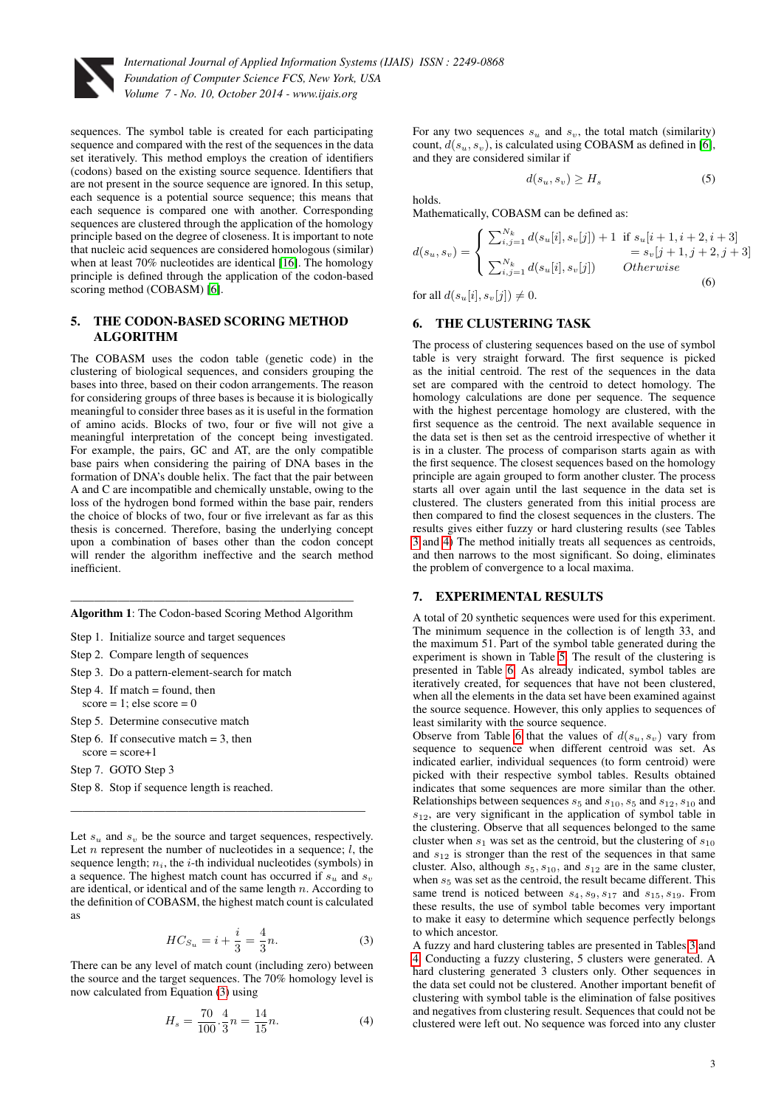

sequences. The symbol table is created for each participating sequence and compared with the rest of the sequences in the data set iteratively. This method employs the creation of identifiers (codons) based on the existing source sequence. Identifiers that are not present in the source sequence are ignored. In this setup, each sequence is a potential source sequence; this means that each sequence is compared one with another. Corresponding sequences are clustered through the application of the homology principle based on the degree of closeness. It is important to note that nucleic acid sequences are considered homologous (similar) when at least 70% nucleotides are identical [\[16\]](#page-3-25). The homology principle is defined through the application of the codon-based scoring method (COBASM) [\[6\]](#page-3-23).

## 5. THE CODON-BASED SCORING METHOD ALGORITHM

The COBASM uses the codon table (genetic code) in the clustering of biological sequences, and considers grouping the bases into three, based on their codon arrangements. The reason for considering groups of three bases is because it is biologically meaningful to consider three bases as it is useful in the formation of amino acids. Blocks of two, four or five will not give a meaningful interpretation of the concept being investigated. For example, the pairs, GC and AT, are the only compatible base pairs when considering the pairing of DNA bases in the formation of DNA's double helix. The fact that the pair between A and C are incompatible and chemically unstable, owing to the loss of the hydrogen bond formed within the base pair, renders the choice of blocks of two, four or five irrelevant as far as this thesis is concerned. Therefore, basing the underlying concept upon a combination of bases other than the codon concept will render the algorithm ineffective and the search method inefficient.

———————————————————————— Algorithm 1: The Codon-based Scoring Method Algorithm

Step 1. Initialize source and target sequences

- Step 2. Compare length of sequences
- Step 3. Do a pattern-element-search for match
- Step 4. If match  $=$  found, then  $score = 1$ ; else  $score = 0$
- Step 5. Determine consecutive match
- Step 6. If consecutive match  $= 3$ , then  $score = score + 1$

Step 7. GOTO Step 3

Step 8. Stop if sequence length is reached.

Let  $s_u$  and  $s_v$  be the source and target sequences, respectively. Let  $n$  represent the number of nucleotides in a sequence;  $l$ , the sequence length;  $n_i$ , the *i*-th individual nucleotides (symbols) in a sequence. The highest match count has occurred if  $s_u$  and  $s_v$ are identical, or identical and of the same length n. According to the definition of COBASM, the highest match count is calculated as

 $\mathcal{L}=\{1,2,3,4,5\}$  , where  $\mathcal{L}=\{1,2,3,4,5\}$  , we have the set of  $\mathcal{L}=\{1,2,3,4,5\}$ 

<span id="page-2-0"></span>
$$
HC_{S_u} = i + \frac{i}{3} = \frac{4}{3}n.
$$
 (3)

There can be any level of match count (including zero) between the source and the target sequences. The 70% homology level is now calculated from Equation [\(3\)](#page-2-0) using

$$
H_s = \frac{70}{100} \cdot \frac{4}{3} n = \frac{14}{15} n. \tag{4}
$$

For any two sequences  $s_u$  and  $s_v$ , the total match (similarity) count,  $d(s_u, s_v)$ , is calculated using COBASM as defined in [\[6\]](#page-3-23), and they are considered similar if

$$
d(s_u, s_v) \ge H_s \tag{5}
$$

holds.

Mathematically, COBASM can be defined as:

$$
d(s_u, s_v) = \begin{cases} \sum_{i,j=1}^{N_k} d(s_u[i], s_v[j]) + 1 & \text{if } s_u[i+1, i+2, i+3] \\ = s_v[j+1, j+2, j+3] \\ \sum_{i,j=1}^{N_k} d(s_u[i], s_v[j]) & Otherwise \end{cases}
$$
(6)

for all  $d(s_u[i], s_v[i]) \neq 0$ .

#### 6. THE CLUSTERING TASK

The process of clustering sequences based on the use of symbol table is very straight forward. The first sequence is picked as the initial centroid. The rest of the sequences in the data set are compared with the centroid to detect homology. The homology calculations are done per sequence. The sequence with the highest percentage homology are clustered, with the first sequence as the centroid. The next available sequence in the data set is then set as the centroid irrespective of whether it is in a cluster. The process of comparison starts again as with the first sequence. The closest sequences based on the homology principle are again grouped to form another cluster. The process starts all over again until the last sequence in the data set is clustered. The clusters generated from this initial process are then compared to find the closest sequences in the clusters. The results gives either fuzzy or hard clustering results (see Tables [3](#page-3-26) and [4\)](#page-3-27) The method initially treats all sequences as centroids, and then narrows to the most significant. So doing, eliminates the problem of convergence to a local maxima.

#### 7. EXPERIMENTAL RESULTS

A total of 20 synthetic sequences were used for this experiment. The minimum sequence in the collection is of length 33, and the maximum 51. Part of the symbol table generated during the experiment is shown in Table [5.](#page-4-11) The result of the clustering is presented in Table [6.](#page-4-12) As already indicated, symbol tables are iteratively created, for sequences that have not been clustered, when all the elements in the data set have been examined against the source sequence. However, this only applies to sequences of least similarity with the source sequence.

Observe from Table [6](#page-4-12) that the values of  $d(s_u, s_v)$  vary from sequence to sequence when different centroid was set. As indicated earlier, individual sequences (to form centroid) were picked with their respective symbol tables. Results obtained indicates that some sequences are more similar than the other. Relationships between sequences  $s_5$  and  $s_{10}$ ,  $s_5$  and  $s_{12}$ ,  $s_{10}$  and  $s_{12}$ , are very significant in the application of symbol table in the clustering. Observe that all sequences belonged to the same cluster when  $s_1$  was set as the centroid, but the clustering of  $s_{10}$ and  $s_{12}$  is stronger than the rest of the sequences in that same cluster. Also, although  $s_5$ ,  $s_{10}$ , and  $s_{12}$  are in the same cluster, when  $s<sub>5</sub>$  was set as the centroid, the result became different. This same trend is noticed between  $s_4$ ,  $s_9$ ,  $s_{17}$  and  $s_{15}$ ,  $s_{19}$ . From these results, the use of symbol table becomes very important to make it easy to determine which sequence perfectly belongs to which ancestor.

A fuzzy and hard clustering tables are presented in Tables [3](#page-3-26) and [4.](#page-3-27) Conducting a fuzzy clustering, 5 clusters were generated. A hard clustering generated 3 clusters only. Other sequences in the data set could not be clustered. Another important benefit of clustering with symbol table is the elimination of false positives and negatives from clustering result. Sequences that could not be clustered were left out. No sequence was forced into any cluster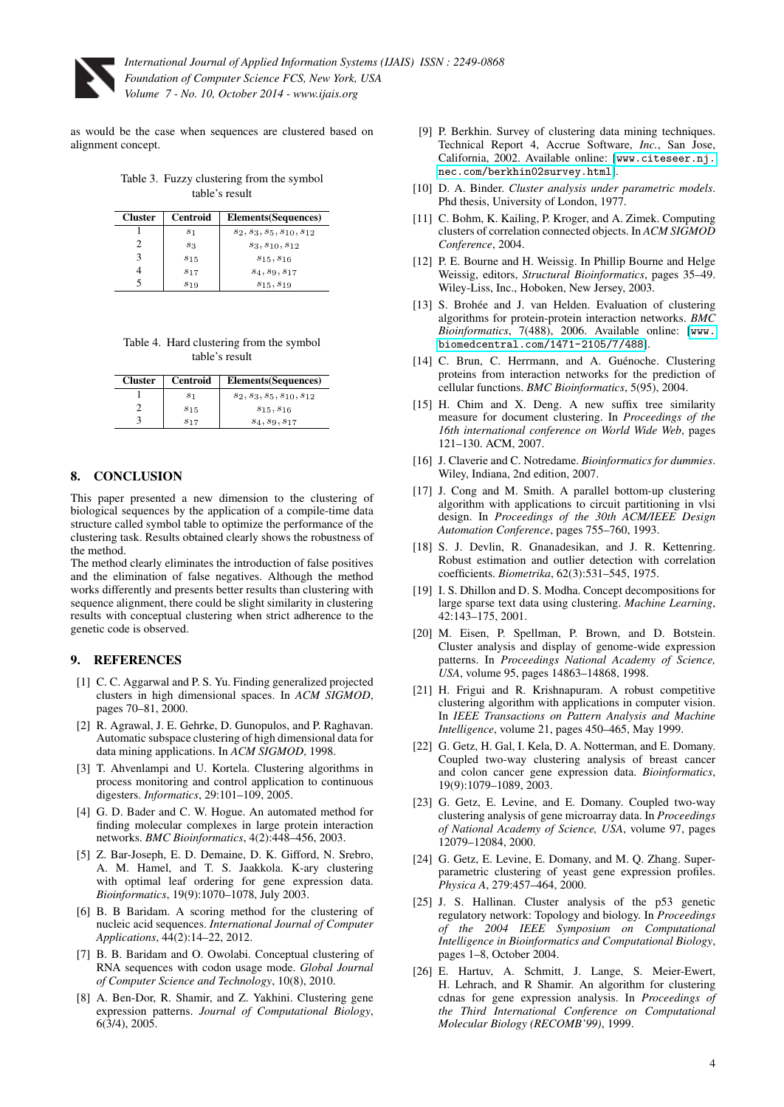

as would be the case when sequences are clustered based on alignment concept.

<span id="page-3-26"></span>Table 3. Fuzzy clustering from the symbol table's result

| <b>Cluster</b> | Centroid | Elements (Sequences)            |
|----------------|----------|---------------------------------|
|                | $s_1$    | $s_2, s_3, s_5, s_{10}, s_{12}$ |
|                | $s_3$    | $s_3, s_{10}, s_{12}$           |
|                | $s_{15}$ | $s_{15}, s_{16}$                |
|                | $s_{17}$ | $S_4, S_9, S_{17}$              |
|                | $s_{19}$ | $s_{15}, s_{19}$                |

<span id="page-3-27"></span>Table 4. Hard clustering from the symbol table's result

| <b>Cluster</b> | Centroid        | Elements (Sequences)            |
|----------------|-----------------|---------------------------------|
|                | $^{s_1}$        | $s_2, s_3, s_5, s_{10}, s_{12}$ |
|                | $s_{15}$        | $s_{15}, s_{16}$                |
|                | S <sub>17</sub> | $s_4, s_9, s_{17}$              |

## 8. CONCLUSION

This paper presented a new dimension to the clustering of biological sequences by the application of a compile-time data structure called symbol table to optimize the performance of the clustering task. Results obtained clearly shows the robustness of the method.

The method clearly eliminates the introduction of false positives and the elimination of false negatives. Although the method works differently and presents better results than clustering with sequence alignment, there could be slight similarity in clustering results with conceptual clustering when strict adherence to the genetic code is observed.

## 9. REFERENCES

- <span id="page-3-15"></span>[1] C. C. Aggarwal and P. S. Yu. Finding generalized projected clusters in high dimensional spaces. In *ACM SIGMOD*, pages 70–81, 2000.
- <span id="page-3-16"></span>[2] R. Agrawal, J. E. Gehrke, D. Gunopulos, and P. Raghavan. Automatic subspace clustering of high dimensional data for data mining applications. In *ACM SIGMOD*, 1998.
- <span id="page-3-7"></span>[3] T. Ahvenlampi and U. Kortela. Clustering algorithms in process monitoring and control application to continuous digesters. *Informatics*, 29:101–109, 2005.
- <span id="page-3-5"></span>[4] G. D. Bader and C. W. Hogue. An automated method for finding molecular complexes in large protein interaction networks. *BMC Bioinformatics*, 4(2):448–456, 2003.
- <span id="page-3-10"></span>[5] Z. Bar-Joseph, E. D. Demaine, D. K. Gifford, N. Srebro, A. M. Hamel, and T. S. Jaakkola. K-ary clustering with optimal leaf ordering for gene expression data. *Bioinformatics*, 19(9):1070–1078, July 2003.
- <span id="page-3-23"></span>[6] B. B Baridam. A scoring method for the clustering of nucleic acid sequences. *International Journal of Computer Applications*, 44(2):14–22, 2012.
- <span id="page-3-12"></span>[7] B. B. Baridam and O. Owolabi. Conceptual clustering of RNA sequences with codon usage mode. *Global Journal of Computer Science and Technology*, 10(8), 2010.
- <span id="page-3-8"></span>[8] A. Ben-Dor, R. Shamir, and Z. Yakhini. Clustering gene expression patterns. *Journal of Computational Biology*, 6(3/4), 2005.
- <span id="page-3-0"></span>[9] P. Berkhin. Survey of clustering data mining techniques. Technical Report 4, Accrue Software, *Inc.*, San Jose, California, 2002. Available online: [[www.citeseer.nj.](www.citeseer.nj.nec.com/berkhin02survey.html) [nec.com/berkhin02survey.html](www.citeseer.nj.nec.com/berkhin02survey.html)].
- <span id="page-3-1"></span>[10] D. A. Binder. *Cluster analysis under parametric models*. Phd thesis, University of London, 1977.
- <span id="page-3-22"></span>[11] C. Bohm, K. Kailing, P. Kroger, and A. Zimek. Computing clusters of correlation connected objects. In *ACM SIGMOD Conference*, 2004.
- <span id="page-3-24"></span>[12] P. E. Bourne and H. Weissig. In Phillip Bourne and Helge Weissig, editors, *Structural Bioinformatics*, pages 35–49. Wiley-Liss, Inc., Hoboken, New Jersey, 2003.
- <span id="page-3-4"></span>[13] S. Brohée and J. van Helden. Evaluation of clustering algorithms for protein-protein interaction networks. *BMC Bioinformatics*, 7(488), 2006. Available online: [[www.](www.biomedcentral.com/1471-2105/7/488) [biomedcentral.com/1471-2105/7/488](www.biomedcentral.com/1471-2105/7/488)].
- <span id="page-3-6"></span>[14] C. Brun, C. Herrmann, and A. Guénoche. Clustering proteins from interaction networks for the prediction of cellular functions. *BMC Bioinformatics*, 5(95), 2004.
- <span id="page-3-18"></span>[15] H. Chim and X. Deng. A new suffix tree similarity measure for document clustering. In *Proceedings of the 16th international conference on World Wide Web*, pages 121–130. ACM, 2007.
- <span id="page-3-25"></span>[16] J. Claverie and C. Notredame. *Bioinformatics for dummies*. Wiley, Indiana, 2nd edition, 2007.
- <span id="page-3-17"></span>[17] J. Cong and M. Smith. A parallel bottom-up clustering algorithm with applications to circuit partitioning in vlsi design. In *Proceedings of the 30th ACM/IEEE Design Automation Conference*, pages 755–760, 1993.
- <span id="page-3-20"></span>[18] S. J. Devlin, R. Gnanadesikan, and J. R. Kettenring. Robust estimation and outlier detection with correlation coefficients. *Biometrika*, 62(3):531–545, 1975.
- <span id="page-3-14"></span>[19] I. S. Dhillon and D. S. Modha. Concept decompositions for large sparse text data using clustering. *Machine Learning*, 42:143–175, 2001.
- <span id="page-3-13"></span>[20] M. Eisen, P. Spellman, P. Brown, and D. Botstein. Cluster analysis and display of genome-wide expression patterns. In *Proceedings National Academy of Science, USA*, volume 95, pages 14863–14868, 1998.
- <span id="page-3-19"></span>[21] H. Frigui and R. Krishnapuram. A robust competitive clustering algorithm with applications in computer vision. In *IEEE Transactions on Pattern Analysis and Machine Intelligence*, volume 21, pages 450–465, May 1999.
- <span id="page-3-3"></span>[22] G. Getz, H. Gal, I. Kela, D. A. Notterman, and E. Domany. Coupled two-way clustering analysis of breast cancer and colon cancer gene expression data. *Bioinformatics*, 19(9):1079–1089, 2003.
- <span id="page-3-21"></span>[23] G. Getz, E. Levine, and E. Domany. Coupled two-way clustering analysis of gene microarray data. In *Proceedings of National Academy of Science, USA*, volume 97, pages 12079–12084, 2000.
- <span id="page-3-11"></span>[24] G. Getz, E. Levine, E. Domany, and M. Q. Zhang. Superparametric clustering of yeast gene expression profiles. *Physica A*, 279:457–464, 2000.
- <span id="page-3-2"></span>[25] J. S. Hallinan. Cluster analysis of the p53 genetic regulatory network: Topology and biology. In *Proceedings of the 2004 IEEE Symposium on Computational Intelligence in Bioinformatics and Computational Biology*, pages 1–8, October 2004.
- <span id="page-3-9"></span>[26] E. Hartuv, A. Schmitt, J. Lange, S. Meier-Ewert, H. Lehrach, and R Shamir. An algorithm for clustering cdnas for gene expression analysis. In *Proceedings of the Third International Conference on Computational Molecular Biology (RECOMB'99)*, 1999.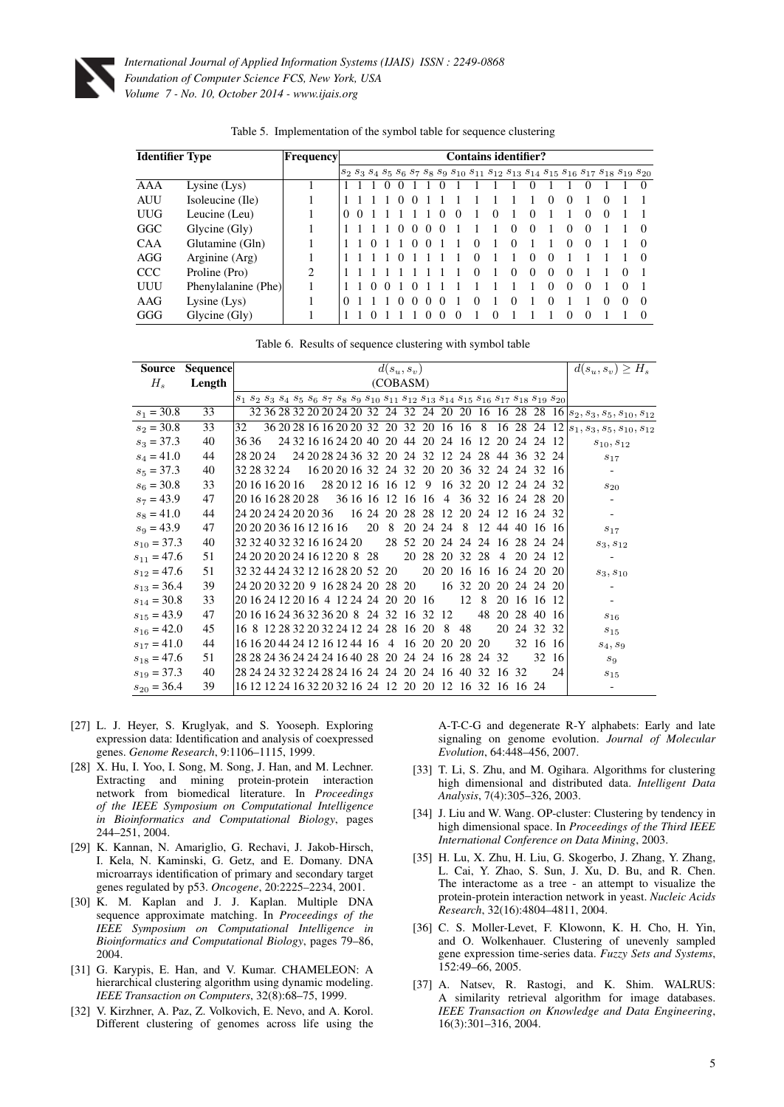

| <b>Identifier Type</b> |                     | <b> Frequency </b>          | <b>Contains identifier?</b> |  |  |  |  |  |   |                   |  |              |                   |                                                                                                                                                    |                   |                   |          |                   |          |          |                  |
|------------------------|---------------------|-----------------------------|-----------------------------|--|--|--|--|--|---|-------------------|--|--------------|-------------------|----------------------------------------------------------------------------------------------------------------------------------------------------|-------------------|-------------------|----------|-------------------|----------|----------|------------------|
|                        |                     |                             |                             |  |  |  |  |  |   |                   |  |              |                   | $S_2$ $S_3$ $S_4$ $S_5$ $S_6$ $S_7$ $S_8$ $S_9$ $S_{10}$ $S_{11}$ $S_{12}$ $S_{13}$ $S_{14}$ $S_{15}$ $S_{16}$ $S_{17}$ $S_{18}$ $S_{19}$ $S_{20}$ |                   |                   |          |                   |          |          |                  |
| AAA                    | Lysine $(Lys)$      |                             |                             |  |  |  |  |  |   |                   |  |              |                   |                                                                                                                                                    |                   |                   |          |                   |          |          | $\theta$         |
| <b>AUU</b>             | Isoleucine (Ile)    |                             |                             |  |  |  |  |  |   |                   |  |              |                   |                                                                                                                                                    |                   | 0                 |          |                   | 0        |          |                  |
| <b>UUG</b>             | Leucine (Leu)       |                             | $\theta$                    |  |  |  |  |  |   |                   |  |              | 0                 |                                                                                                                                                    | $\theta$          |                   |          | $^{(1)}$          | $\theta$ |          |                  |
| GGC                    | Glycine (Gly)       |                             |                             |  |  |  |  |  | 0 | $\mathbf{\Omega}$ |  |              |                   |                                                                                                                                                    | $\theta$          |                   |          | $\theta$          |          |          | $\left($         |
| <b>CAA</b>             | Glutamine (Gln)     |                             |                             |  |  |  |  |  |   |                   |  | $\mathbf{0}$ |                   |                                                                                                                                                    |                   |                   |          | $\theta$          |          |          | $\left( \right)$ |
| AGG                    | Arginine (Arg)      |                             |                             |  |  |  |  |  |   |                   |  |              |                   |                                                                                                                                                    | $\mathbf{\Omega}$ | $\theta$          |          |                   |          |          | 0                |
| <b>CCC</b>             | Proline (Pro)       | $\mathcal{D}_{\mathcal{A}}$ |                             |  |  |  |  |  |   |                   |  | 0            |                   | $\Omega$                                                                                                                                           | $\Omega$          | $\Omega$          |          |                   |          | $\Omega$ |                  |
| UUU                    | Phenylalanine (Phe) |                             |                             |  |  |  |  |  |   |                   |  |              |                   |                                                                                                                                                    |                   | $\mathbf{0}$      | $\Omega$ | $\theta$          |          | $\Omega$ |                  |
| AAG                    | Lysine $(Lys)$      |                             |                             |  |  |  |  |  |   |                   |  |              |                   |                                                                                                                                                    |                   | $\mathbf{\Omega}$ |          |                   | 0        | $\Omega$ | $\Omega$         |
| GGG                    | Glycine (Gly)       |                             |                             |  |  |  |  |  |   |                   |  |              | $\mathbf{\Omega}$ |                                                                                                                                                    |                   |                   |          | $\mathbf{\Omega}$ |          |          |                  |

<span id="page-4-11"></span>Table 5. Implementation of the symbol table for sequence clustering

<span id="page-4-12"></span>

|  |  | Table 6. Results of sequence clustering with symbol table |  |  |
|--|--|-----------------------------------------------------------|--|--|
|  |  |                                                           |  |  |

| Source          | Sequence |    | $d(s_u, s_v)$           |  |  |  |  |  |  |                            |                                 |                                    |                                                    |     |                |          | $d(s_u, s_v) \geq H_s$ |                                                          |          |             |                                                                                                                                                                             |                                                                                                         |
|-----------------|----------|----|-------------------------|--|--|--|--|--|--|----------------------------|---------------------------------|------------------------------------|----------------------------------------------------|-----|----------------|----------|------------------------|----------------------------------------------------------|----------|-------------|-----------------------------------------------------------------------------------------------------------------------------------------------------------------------------|---------------------------------------------------------------------------------------------------------|
| $H_s$           | Length   |    |                         |  |  |  |  |  |  |                            |                                 |                                    | (COBASM)                                           |     |                |          |                        |                                                          |          |             |                                                                                                                                                                             |                                                                                                         |
|                 |          |    |                         |  |  |  |  |  |  |                            |                                 |                                    |                                                    |     |                |          |                        |                                                          |          |             | $s_1 \; s_2 \; s_3 \; s_4 \; s_5 \; s_6 \; s_7 \; s_8 \; s_9 \; s_{10} \; s_{11} \; s_{12} \; s_{13} \; s_{14} \; s_{15} \; s_{16} \; s_{17} \; s_{18} \; s_{19} \; s_{20}$ |                                                                                                         |
| $s_1 = 30.8$    | 33       |    |                         |  |  |  |  |  |  |                            |                                 |                                    |                                                    |     |                |          |                        |                                                          |          |             |                                                                                                                                                                             | 32 36 28 32 20 20 24 20 32 24 32 24 20 20 16 16 28 28 16 $ s_2, s_3, s_5, s_{10}, s_{12}\rangle$        |
| $s_2 = 30.8$    | 33       | 32 |                         |  |  |  |  |  |  |                            |                                 |                                    |                                                    |     |                |          |                        |                                                          |          |             |                                                                                                                                                                             | $36\ 20\ 28\ 16\ 16\ 20\ 20\ 32\ 20\ 32$ 20 16 16 8 16 28 24 12 $ s_1, s_3, s_5, s_{10}, s_{12}\rangle$ |
| $s_3 = 37.3$    | 40       |    | 36.36                   |  |  |  |  |  |  |                            |                                 |                                    |                                                    |     |                |          |                        | 24 32 16 16 24 20 40 20 44 20 24 16 12 20 24 24          |          |             | -12                                                                                                                                                                         | $s_{10}, s_{12}$                                                                                        |
| $s_4 = 41.0$    | 44       |    | 28 20 24                |  |  |  |  |  |  |                            |                                 |                                    |                                                    |     |                |          |                        | 24 20 28 24 36 32 20 24 32 12 24 28 44 36 32 24          |          |             |                                                                                                                                                                             | $s_{17}$                                                                                                |
| $s_5 = 37.3$    | 40       |    | 32 28 32 24             |  |  |  |  |  |  |                            |                                 |                                    | 16 20 20 16 32 24 32 20                            |     |                |          |                        | 20 36 32 24 24 32 16                                     |          |             |                                                                                                                                                                             |                                                                                                         |
| $s_6 = 30.8$    | 33       |    |                         |  |  |  |  |  |  |                            |                                 |                                    | 20 16 16 20 16 28 20 12 16 16 12                   | - 9 |                |          | 16 32 20               | 12 24 24 32                                              |          |             |                                                                                                                                                                             | $\sqrt{s_{20}}$                                                                                         |
| $s_7 = 43.9$    | 47       |    | 20 16 16 28 20 28       |  |  |  |  |  |  |                            |                                 |                                    | 36 16 16 12 16 16                                  |     | $\overline{4}$ |          |                        | 36 32 16 24 28 20                                        |          |             |                                                                                                                                                                             |                                                                                                         |
| $s_8 = 41.0$    | 44       |    | 24 20 24 24 20 20 36    |  |  |  |  |  |  |                            |                                 |                                    |                                                    |     |                |          |                        | 16 24 20 28 28 12 20 24 12 16 24 32                      |          |             |                                                                                                                                                                             |                                                                                                         |
| $s_9 = 43.9$    | 47       |    | 20 20 20 36 16 12 16 16 |  |  |  |  |  |  |                            | 20                              | 8                                  | 20                                                 | 24  | 24             | 8        |                        | 12 44 40 16 16                                           |          |             |                                                                                                                                                                             | $s_{17}$                                                                                                |
| $s_{10} = 37.3$ | 40       |    |                         |  |  |  |  |  |  | 32 32 40 32 32 16 16 24 20 |                                 |                                    | 28 52 20                                           |     |                |          | 24 24 24               | -16                                                      |          | 28 24       | -24                                                                                                                                                                         | $s_3, s_{12}$                                                                                           |
| $s_{11} = 47.6$ | 51       |    |                         |  |  |  |  |  |  |                            | 24 20 20 20 24 16 12 20 8 28    |                                    | 20                                                 | 28  |                | 20 32 28 |                        | $\overline{4}$                                           |          | 20 24 12    |                                                                                                                                                                             |                                                                                                         |
| $s_{12} = 47.6$ | 51       |    |                         |  |  |  |  |  |  |                            |                                 | 32 32 44 24 32 12 16 28 20 52 20   |                                                    |     | 20 20 16       |          | -16                    |                                                          |          | 16 24 20 20 |                                                                                                                                                                             | $s_3, s_{10}$                                                                                           |
| $s_{13} = 36.4$ | 39       |    |                         |  |  |  |  |  |  |                            |                                 | 24 20 20 32 20 9 16 28 24 20 28 20 |                                                    |     |                |          | 16 32 20               |                                                          |          | 20 24 24 20 |                                                                                                                                                                             |                                                                                                         |
| $s_{14} = 30.8$ | 33       |    |                         |  |  |  |  |  |  |                            |                                 |                                    | 20 16 24 12 20 16 4 12 24 24 20 20 16              |     |                | 12       | 8                      | 20                                                       |          | 16 16 12    |                                                                                                                                                                             |                                                                                                         |
| $s_{15} = 43.9$ | 47       |    |                         |  |  |  |  |  |  |                            |                                 |                                    | 20 16 16 24 36 32 36 20 8 24 32 16 32 12           |     |                |          | 48                     |                                                          | 20 28 40 |             | -16                                                                                                                                                                         | $s_{16}$                                                                                                |
| $s_{16} = 42.0$ | 45       |    |                         |  |  |  |  |  |  |                            |                                 |                                    | 16 8 12 28 32 20 32 24 12 24 28 16 20              |     | - 8            | 48       |                        | 20                                                       |          | 24 32 32    |                                                                                                                                                                             | $s_{15}$                                                                                                |
| $s_{17} = 41.0$ | 44       |    |                         |  |  |  |  |  |  |                            | 16 16 20 44 24 12 16 12 44 16 4 |                                    | 16 20                                              |     | 20             |          | 20 20                  |                                                          |          | 32 16       | -16                                                                                                                                                                         | $s_4, s_9$                                                                                              |
| $s_{18} = 47.6$ | 51       |    |                         |  |  |  |  |  |  |                            |                                 |                                    | 28 28 24 36 24 24 24 16 40 28 20 24 24 16 28 24 32 |     |                |          |                        |                                                          |          | 32          | -16                                                                                                                                                                         | $s_9$                                                                                                   |
| $s_{19} = 37.3$ | 40       |    |                         |  |  |  |  |  |  |                            |                                 |                                    |                                                    |     |                |          |                        | 28 24 24 32 32 24 28 24 16 24 24 20 24 16 40 32 16 32    |          |             | 24                                                                                                                                                                          | $s_{15}$                                                                                                |
| $s_{20} = 36.4$ | 39       |    |                         |  |  |  |  |  |  |                            |                                 |                                    |                                                    |     |                |          |                        | 16 12 12 24 16 32 20 32 16 24 12 20 20 12 16 32 16 16 24 |          |             |                                                                                                                                                                             |                                                                                                         |

- <span id="page-4-10"></span>[27] L. J. Heyer, S. Kruglyak, and S. Yooseph. Exploring expression data: Identification and analysis of coexpressed genes. *Genome Research*, 9:1106–1115, 1999.
- <span id="page-4-2"></span>[28] X. Hu, I. Yoo, I. Song, M. Song, J. Han, and M. Lechner. Extracting and mining protein-protein interaction network from biomedical literature. In *Proceedings of the IEEE Symposium on Computational Intelligence in Bioinformatics and Computational Biology*, pages 244–251, 2004.
- <span id="page-4-0"></span>[29] K. Kannan, N. Amariglio, G. Rechavi, J. Jakob-Hirsch, I. Kela, N. Kaminski, G. Getz, and E. Domany. DNA microarrays identification of primary and secondary target genes regulated by p53. *Oncogene*, 20:2225–2234, 2001.
- <span id="page-4-9"></span>[30] K. M. Kaplan and J. J. Kaplan. Multiple DNA sequence approximate matching. In *Proceedings of the IEEE Symposium on Computational Intelligence in Bioinformatics and Computational Biology*, pages 79–86, 2004.
- <span id="page-4-7"></span>[31] G. Karypis, E. Han, and V. Kumar. CHAMELEON: A hierarchical clustering algorithm using dynamic modeling. *IEEE Transaction on Computers*, 32(8):68–75, 1999.
- <span id="page-4-1"></span>[32] V. Kirzhner, A. Paz, Z. Volkovich, E. Nevo, and A. Korol. Different clustering of genomes across life using the

A-T-C-G and degenerate R-Y alphabets: Early and late signaling on genome evolution. *Journal of Molecular Evolution*, 64:448–456, 2007.

- <span id="page-4-6"></span>[33] T. Li, S. Zhu, and M. Ogihara. Algorithms for clustering high dimensional and distributed data. *Intelligent Data Analysis*, 7(4):305–326, 2003.
- <span id="page-4-5"></span>[34] J. Liu and W. Wang. OP-cluster: Clustering by tendency in high dimensional space. In *Proceedings of the Third IEEE International Conference on Data Mining*, 2003.
- <span id="page-4-3"></span>[35] H. Lu, X. Zhu, H. Liu, G. Skogerbo, J. Zhang, Y. Zhang, L. Cai, Y. Zhao, S. Sun, J. Xu, D. Bu, and R. Chen. The interactome as a tree - an attempt to visualize the protein-protein interaction network in yeast. *Nucleic Acids Research*, 32(16):4804–4811, 2004.
- <span id="page-4-4"></span>[36] C. S. Moller-Levet, F. Klowonn, K. H. Cho, H. Yin, and O. Wolkenhauer. Clustering of unevenly sampled gene expression time-series data. *Fuzzy Sets and Systems*, 152:49–66, 2005.
- <span id="page-4-8"></span>[37] A. Natsev, R. Rastogi, and K. Shim. WALRUS: A similarity retrieval algorithm for image databases. *IEEE Transaction on Knowledge and Data Engineering*, 16(3):301–316, 2004.